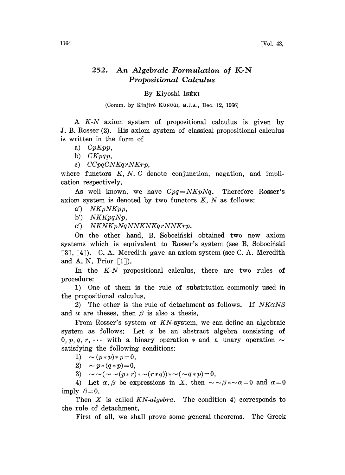## 252. An Algebraic Formulation of  $K\text{-}N$ Propositional Calculus

## By Kiyoshi IsÉKI

(Comm. by Kinjirô KUNUGI, M.J.A., Dec. 12, 1966)

A K-N axiom system of propositional calculus is given by J. B. Rosser (2). His axiom system of classical propositional calculus is written in the form of

a)  $CpKpp$ ,

b)  $CKpqp$ ,

c) CCpqCNKqrNKrp,

where functors  $K, N, C$  denote conjunction, negation, and implication respectively.

As well known, we have  $Cpq=NKpNq$ . Therefore Rosser's axiom system is denoted by two functors  $K$ ,  $N$  as follows:

a') NKpNKpp,

b')  $NKKpqNp$ ,

c') NKNKpNqNNKNKqrNNKrp.

On the other hand, B. Sobociński obtained two new axiom systems which is equivalent to Rosser's system (see B. Sobocinski [3], [4]). C.A. Meredith gave an axiom system (see C.A. Meredith and A. N. Prior  $[1]$ ).

In the K-N propositional calculus, there are two rules of procedure:

1) One of them is the rule of substitution commonly used in the propositional calculus.

2) The other is the rule of detachment as follows. If  $NK\alpha N\beta$ and  $\alpha$  are theses, then  $\beta$  is also a thesis.

From Rosser's system or KN-system, we can define an algebraic system as follows: Let  $x$  be an abstract algebra consisting of 0, p, q, r,  $\cdots$  with a binary operation  $*$  and a unary operation  $\sim$ satisfying the following conditions:

1)  $\sim (p*p)*p=0,$ 

2)  $\sim p*(q*p)=0,$ 

3)  $\sim \sim(\sim \sim(p*r)*\sim(r*q))*\sim(\sim q*p) =0,$ 

4) Let  $\alpha, \beta$  be expressions in X, then  $\sim \beta * \sim \alpha = 0$  and  $\alpha = 0$ imply  $\beta = 0$ .

 $y \approx 0$ .<br>Then X is called KN-algebra. The condition 4) corresponds to<br>rule of detachment.<br>First of all, we shall prove some general theorems. The Greek the rule of detachment.

First of all, we shall prove some general theorems. The Greek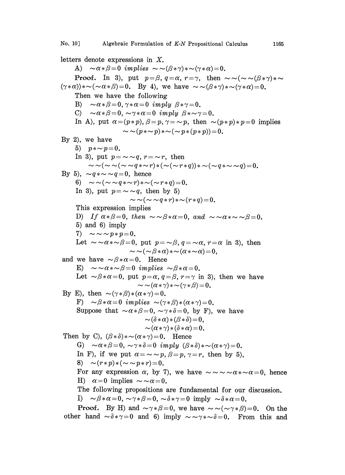letters denote expressions in X. A)  $\sim \alpha * \beta = 0$  implies  $\sim \sim (\beta * \gamma) * \sim (\gamma * \alpha) = 0$ . **Proof.** In 3), put  $p = \beta$ ,  $q = \alpha$ ,  $r = \gamma$ , then  $\sim \sim (\sim \sim (\beta * \gamma) * \sim$  $(\gamma * \alpha) * \sim (\sim \alpha * \beta) = 0$ . By 4), we have  $\sim \sim (\beta * \gamma) * \sim (\gamma * \alpha) = 0$ . Then we have the following B)  $\sim \alpha * \beta = 0, \gamma * \alpha = 0$  imply  $\beta * \gamma = 0$ . C)  $\sim \alpha * \beta = 0$ ,  $\sim \gamma * \alpha = 0$  imply  $\beta * \sim \gamma = 0$ . In A), put  $\alpha = (p*p)$ ,  $\beta = p$ ,  $\gamma = \sim p$ , then  $\sim (p*p)*p=0$  implies  $\sim \sim (p*\sim p)*\sim (\sim p*(p*p))=0.$ By 2), we have 5)  $p * \sim p = 0$ . In 3), put  $p = \sim q$ ,  $r = \sim r$ , then  $\sim(-\sqrt{(\sim \gamma q*\sim r)} * (\sim(\sim r*q))*\sim(\sim q*\sim \sim q)=0.$ By 5),  $\sim q \times \sim q = 0$ , hence 6)  $\sim \sim (\sim \sim q * \sim r) * \sim (\sim r * q) = 0.$ In 3), put  $p = \sim q$ , then by 5)  $\sim \sim (\sim \sim q * r) * \sim (r * q) = 0.$ This expression implies D) If  $\alpha * \beta = 0$ , then  $\sim \beta * \alpha = 0$ , and  $\sim \alpha * \sim \beta = 0$ . 5) and 6) imply 7)  $\sim \sim \sim p*p=0.$ Let  $\sim \alpha * \sim \beta = 0$ , put  $p = \alpha, q = \alpha, r = \alpha$  in 3), then  $\sim \sim (\sim \beta \ast \alpha) \ast \sim (\alpha \ast \sim \alpha)=0.$ and we have  $\sim \beta \times \alpha = 0$ . Hence E)  $\sim \alpha * \sim \beta = 0$  implies  $\sim \beta * \alpha = 0$ . Let  $\sim \beta \times \alpha = 0$ , put  $p=\alpha$ ,  $q=\beta$ ,  $r=\gamma$  in 3), then we have  $\sim \sim(\alpha*\gamma)*\sim(\gamma*\beta)=0.$ By E), then  $\sim (\gamma * \beta) * (\alpha * \gamma) = 0$ . F)  $\sim \beta \times \alpha = 0$  implies  $\sim (\gamma \times \beta) \times (\alpha \times \gamma) = 0$ . Suppose that  $\sim \alpha \cdot \beta = 0$ ,  $\sim \gamma \cdot \delta = 0$ , by F), we have  $\sim(\delta*\alpha)*(\beta*\delta)=0$ ,  $\sim (\alpha * \gamma) * (\delta * \alpha) = 0.$ Then by C),  $(\beta * \delta) * \sim (\alpha * \gamma) = 0$ . Hence G)  $\sim \alpha * \beta = 0$ ,  $\sim \gamma * \delta = 0$  imply  $(\beta * \delta) * \sim (\alpha * \gamma) = 0$ . In F), if we put  $\alpha = \sim p$ ,  $\beta = p$ ,  $\gamma = r$ , then by 5),<br>8)  $\sim (r*p)*(\sim \sim p*r)=0.$ For any expression  $\alpha$ , by 7), we have  $\sim \sim \infty \times \alpha \times \infty = 0$ , hence H)  $\alpha = 0$  implies  $\sim \alpha = 0$ . The following propositions are fundamental for our discussion. I)  $\sim \beta \times \alpha = 0$ ,  $\sim \gamma \times \beta = 0$ ,  $\sim \delta \times \gamma = 0$  imply  $\sim \delta \times \alpha = 0$ .

**Proof.** By H) and  $\sim \gamma * \beta = 0$ , we have  $\sim \sim (\sim \gamma * \beta) = 0$ . On the other hand  $\sim \delta * \gamma = 0$  and 6) imply  $\sim \sim \gamma * \sim \delta = 0$ . From this and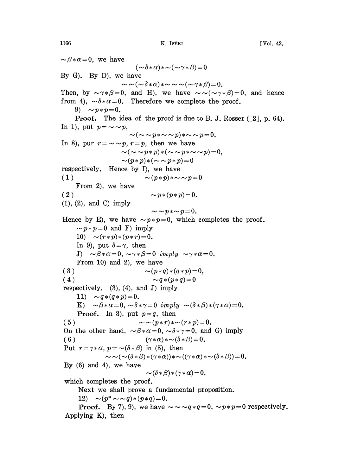$\sim \beta \times \alpha = 0$ , we have  $(\sim\!\delta\!*\alpha)\!*\sim\!(\sim\!\gamma\!*\beta)\!=\!0$ By G). By D), we have  $\sim \sim (\sim \delta \times \alpha) \times \sim \sim \sim (\sim \gamma \times \beta) = 0.$ Then, by  $\sim \gamma * \beta = 0$ , and H), we have  $\sim \sim (\sim \gamma * \beta) = 0$ , and hence from 4),  $\sim \delta \times \alpha = 0$ . Therefore we complete the proof. 9)  $\sim p*p=0$ . **Proof.** The idea of the proof is due to B. J. Rosser ( $\lceil 2 \rceil$ , p. 64). In 1), put  $p = \sim p$ ,  $\sim(\sim\sim p_{*}\sim\sim p)_{*}\sim\sim p=0.$ In 8), pur  $r = \sim \sim p$ ,  $r = p$ , then we have  $\sim(\sim\!\sim\!p\!*\!p)*(\sim\!\sim\!p\!*\sim\!\sim\!p)\!=\!0,$  $\sim (p*p)*({\sim} \sim p*p)=0$ respectively. Hence by I), we have ( 1 )  $\sim (p*p)*\sim\sim p=0$ From 2), we have (2)  $\sim p*(p*p)=0.$ (1), (2), and C) imply  $\sim p_{*}p_{*}-p=0.$ Hence by E), we have  $\sim p*p=0$ , which completes the proof.  $\sim p*p=0$  and F) imply 10)  $\sim (r*p)*(p*r)=0.$ In 9), put  $\delta = \gamma$ , then J)  $\sim \beta \times \alpha=0, \sim \gamma \times \beta=0$  imply  $\sim \gamma \times \alpha=0.$ From 10) and 2), we have ( 3 )  $\sim (p * q) * (q * p) = 0,$ (4)  $\sim q*(p*q)=0$ respectively.  $(3)$ ,  $(4)$ , and J) imply 11)  $\sim q*(q*p)=0$ . K)  $\sim \beta \times \alpha=0$ ,  $\sim \delta \times \gamma=0$  imply  $\sim (\delta \times \beta) \times (\gamma \times \alpha)=0$ . **Proof.** In 3), put  $p=q$ , then ( 5 )  $\sim \sim (p*r)*\sim (r*p)=0.$ On the other hand,  $\sim \beta \times \alpha = 0$ ,  $\sim \delta \times \gamma = 0$ , and G) imply ( 6 )  $(\gamma * \alpha) * \sim (\delta * \beta) = 0.$ Put  $r = \gamma \ast \alpha$ ,  $p = \sim (\delta \ast \beta)$  in (5), then  $\sim \sim (\sim (\delta * \beta) * (\gamma * \alpha)) * \sim ((\gamma * \alpha) * \sim (\delta * \beta)) = 0.$ By  $(6)$  and  $4$ ), we have  $\sim (\delta * \beta) * (\gamma * \alpha) = 0,$ which completes the proof. Next we shall prove a fundamental proposition. 12)  $\sim (p^* \sim \sim q) * (p * q) = 0.$ **Proof.** By 7), 9), we have  $\sim \sim q \cdot q = 0$ ,  $\sim p \cdot p = 0$  respectively.

Applying K), then